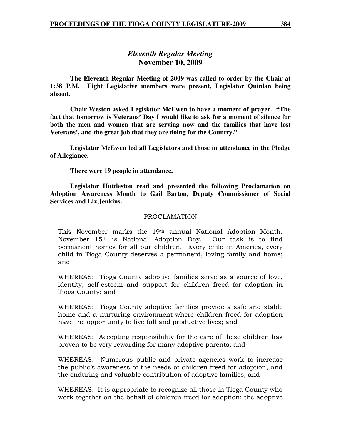# *Eleventh Regular Meeting*  **November 10, 2009**

 **The Eleventh Regular Meeting of 2009 was called to order by the Chair at 1:38 P.M. Eight Legislative members were present, Legislator Quinlan being absent.** 

**Chair Weston asked Legislator McEwen to have a moment of prayer. "The fact that tomorrow is Veterans' Day I would like to ask for a moment of silence for both the men and women that are serving now and the families that have lost Veterans', and the great job that they are doing for the Country."** 

 **Legislator McEwen led all Legislators and those in attendance in the Pledge of Allegiance.** 

 **There were 19 people in attendance.** 

 **Legislator Huttleston read and presented the following Proclamation on Adoption Awareness Month to Gail Barton, Deputy Commissioner of Social Services and Liz Jenkins.** 

#### PROCLAMATION

This November marks the 19th annual National Adoption Month. November 15<sup>th</sup> is National Adoption Day. Our task is to find permanent homes for all our children. Every child in America, every child in Tioga County deserves a permanent, loving family and home; and

WHEREAS: Tioga County adoptive families serve as a source of love, identity, self-esteem and support for children freed for adoption in Tioga County; and

WHEREAS: Tioga County adoptive families provide a safe and stable home and a nurturing environment where children freed for adoption have the opportunity to live full and productive lives; and

WHEREAS: Accepting responsibility for the care of these children has proven to be very rewarding for many adoptive parents; and

WHEREAS: Numerous public and private agencies work to increase the public's awareness of the needs of children freed for adoption, and the enduring and valuable contribution of adoptive families; and

WHEREAS: It is appropriate to recognize all those in Tioga County who work together on the behalf of children freed for adoption; the adoptive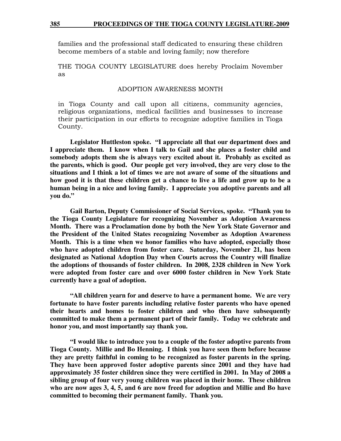families and the professional staff dedicated to ensuring these children become members of a stable and loving family; now therefore

THE TIOGA COUNTY LEGISLATURE does hereby Proclaim November as

#### ADOPTION AWARENESS MONTH

in Tioga County and call upon all citizens, community agencies, religious organizations, medical facilities and businesses to increase their participation in our efforts to recognize adoptive families in Tioga County.

 **Legislator Huttleston spoke. "I appreciate all that our department does and I appreciate them. I know when I talk to Gail and she places a foster child and somebody adopts them she is always very excited about it. Probably as excited as the parents, which is good. Our people get very involved, they are very close to the situations and I think a lot of times we are not aware of some of the situations and how good it is that these children get a chance to live a life and grow up to be a human being in a nice and loving family. I appreciate you adoptive parents and all you do."** 

 **Gail Barton, Deputy Commissioner of Social Services, spoke. "Thank you to the Tioga County Legislature for recognizing November as Adoption Awareness Month. There was a Proclamation done by both the New York State Governor and the President of the United States recognizing November as Adoption Awareness Month. This is a time when we honor families who have adopted, especially those who have adopted children from foster care. Saturday, November 21, has been designated as National Adoption Day when Courts across the Country will finalize the adoptions of thousands of foster children. In 2008, 2328 children in New York were adopted from foster care and over 6000 foster children in New York State currently have a goal of adoption.** 

 **"All children yearn for and deserve to have a permanent home. We are very fortunate to have foster parents including relative foster parents who have opened their hearts and homes to foster children and who then have subsequently committed to make them a permanent part of their family. Today we celebrate and honor you, and most importantly say thank you.** 

 **"I would like to introduce you to a couple of the foster adoptive parents from Tioga County. Millie and Bo Henning. I think you have seen them before because they are pretty faithful in coming to be recognized as foster parents in the spring. They have been approved foster adoptive parents since 2001 and they have had approximately 35 foster children since they were certified in 2001. In May of 2008 a sibling group of four very young children was placed in their home. These children who are now ages 3, 4, 5, and 6 are now freed for adoption and Millie and Bo have committed to becoming their permanent family. Thank you.**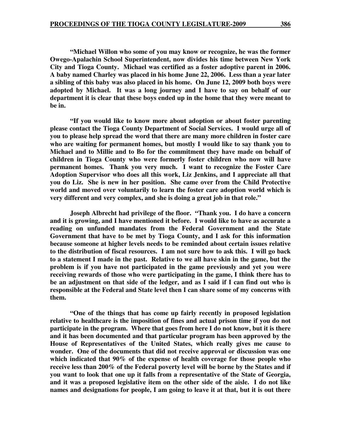**"Michael Willon who some of you may know or recognize, he was the former Owego-Apalachin School Superintendent, now divides his time between New York City and Tioga County. Michael was certified as a foster adoptive parent in 2006. A baby named Charley was placed in his home June 22, 2006. Less than a year later a sibling of this baby was also placed in his home. On June 12, 2009 both boys were adopted by Michael. It was a long journey and I have to say on behalf of our department it is clear that these boys ended up in the home that they were meant to be in.** 

 **"If you would like to know more about adoption or about foster parenting please contact the Tioga County Department of Social Services. I would urge all of you to please help spread the word that there are many more children in foster care who are waiting for permanent homes, but mostly I would like to say thank you to Michael and to Millie and to Bo for the commitment they have made on behalf of children in Tioga County who were formerly foster children who now will have permanent homes. Thank you very much. I want to recognize the Foster Care Adoption Supervisor who does all this work, Liz Jenkins, and I appreciate all that you do Liz. She is new in her position. She came over from the Child Protective world and moved over voluntarily to learn the foster care adoption world which is very different and very complex, and she is doing a great job in that role."** 

 **Joseph Albrecht had privilege of the floor. "Thank you. I do have a concern and it is growing, and I have mentioned it before. I would like to have as accurate a reading on unfunded mandates from the Federal Government and the State Government that have to be met by Tioga County, and I ask for this information because someone at higher levels needs to be reminded about certain issues relative to the distribution of fiscal resources. I am not sure how to ask this. I will go back to a statement I made in the past. Relative to we all have skin in the game, but the problem is if you have not participated in the game previously and yet you were receiving rewards of those who were participating in the game, I think there has to be an adjustment on that side of the ledger, and as I said if I can find out who is responsible at the Federal and State level then I can share some of my concerns with them.** 

 **"One of the things that has come up fairly recently in proposed legislation relative to healthcare is the imposition of fines and actual prison time if you do not participate in the program. Where that goes from here I do not know, but it is there and it has been documented and that particular program has been approved by the House of Representatives of the United States, which really gives me cause to wonder. One of the documents that did not receive approval or discussion was one which indicated that 90% of the expense of health coverage for those people who receive less than 200% of the Federal poverty level will be borne by the States and if you want to look that one up it falls from a representative of the State of Georgia, and it was a proposed legislative item on the other side of the aisle. I do not like names and designations for people, I am going to leave it at that, but it is out there**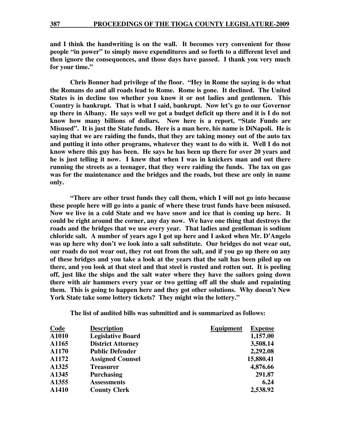**and I think the handwriting is on the wall. It becomes very convenient for those people "in power" to simply move expenditures and so forth to a different level and then ignore the consequences, and those days have passed. I thank you very much for your time."** 

 **Chris Bonner had privilege of the floor. "Hey in Rome the saying is do what the Romans do and all roads lead to Rome. Rome is gone. It declined. The United States is in decline too whether you know it or not ladies and gentlemen. This Country is bankrupt. That is what I said, bankrupt. Now let's go to our Governor up there in Albany. He says well we got a budget deficit up there and it is I do not know how many billions of dollars. Now here is a report, "State Funds are Misused". It is just the State funds. Here is a man here, his name is DiNapoli. He is saying that we are raiding the funds, that they are taking money out of the auto tax and putting it into other programs, whatever they want to do with it. Well I do not know where this guy has been. He says he has been up there for over 20 years and he is just telling it now. I knew that when I was in knickers man and out there running the streets as a teenager, that they were raiding the funds. The tax on gas was for the maintenance and the bridges and the roads, but these are only in name only.** 

**"There are other trust funds they call them, which I will not go into because these people here will go into a panic of where these trust funds have been misused. Now we live in a cold State and we have snow and ice that is coming up here. It could be right around the corner, any day now. We have one thing that destroys the roads and the bridges that we use every year. That ladies and gentleman is sodium chloride salt. A number of years ago I got up here and I asked when Mr. D'Angelo was up here why don't we look into a salt substitute. Our bridges do not wear out, our roads do not wear out, they rot out from the salt, and if you go up there on any of these bridges and you take a look at the years that the salt has been piled up on there, and you look at that steel and that steel is rusted and rotten out. It is peeling off, just like the ships and the salt water where they have the sailors going down there with air hammers every year or two getting off all the shale and repainting them. This is going to happen here and they got other solutions. Why doesn't New York State take some lottery tickets? They might win the lottery."** 

**The list of audited bills was submitted and is summarized as follows:** 

| Code  | <b>Description</b>       | <b>Equipment</b><br><b>Expense</b> |
|-------|--------------------------|------------------------------------|
| A1010 | <b>Legislative Board</b> | 1,157.00                           |
| A1165 | <b>District Attorney</b> | 3,508.14                           |
| A1170 | <b>Public Defender</b>   | 2,292.08                           |
| A1172 | <b>Assigned Counsel</b>  | 15,880.41                          |
| A1325 | <b>Treasurer</b>         | 4,876.66                           |
| A1345 | <b>Purchasing</b>        | 291.87                             |
| A1355 | <b>Assessments</b>       | 6.24                               |
| A1410 | <b>County Clerk</b>      | 2,538.92                           |
|       |                          |                                    |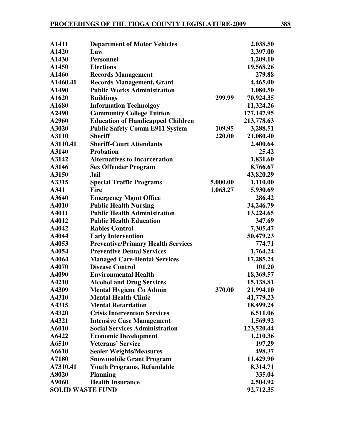| A1411                   | <b>Department of Motor Vehicles</b>       |          | 2,038.50   |
|-------------------------|-------------------------------------------|----------|------------|
| A1420                   | Law                                       |          | 2,397.00   |
| A1430                   | <b>Personnel</b>                          |          | 1,209.10   |
| A1450                   | <b>Elections</b>                          |          | 19,568.26  |
| A1460                   | <b>Records Management</b>                 |          | 279.88     |
| A1460.41                | <b>Records Management, Grant</b>          |          | 4,465.00   |
| A1490                   | <b>Public Works Administration</b>        |          | 1,080.50   |
| A1620                   | <b>Buildings</b>                          | 299.99   | 70,924.35  |
| A1680                   | <b>Information Technolgoy</b>             |          | 11,324.26  |
| A2490                   | <b>Community College Tuition</b>          |          | 177,147.95 |
| A2960                   | <b>Education of Handicapped Children</b>  |          | 213,778.63 |
| A3020                   | <b>Public Safety Comm E911 System</b>     | 109.95   | 3,288.51   |
| A3110                   | <b>Sheriff</b>                            | 220.00   | 21,080.40  |
| A3110.41                | <b>Sheriff-Court Attendants</b>           |          | 2,400.64   |
| A3140                   | <b>Probation</b>                          |          | 25.42      |
| A3142                   | <b>Alternatives to Incarceration</b>      |          | 1,831.60   |
| A3146                   | <b>Sex Offender Program</b>               |          | 8,766.67   |
| A3150                   | <b>Jail</b>                               |          | 43,820.29  |
| A3315                   | <b>Special Traffic Programs</b>           | 5,000.00 | 1,110.00   |
| A341                    | <b>Fire</b>                               | 1,063.27 | 5,930.69   |
| A3640                   | <b>Emergency Mgmt Office</b>              |          | 286.42     |
| A4010                   | <b>Public Health Nursing</b>              |          | 34,246.79  |
| A4011                   | <b>Public Health Administration</b>       |          | 13,224.65  |
| A4012                   | <b>Public Health Education</b>            |          | 347.69     |
| A4042                   | <b>Rabies Control</b>                     |          | 7,305.47   |
| A4044                   | <b>Early Intervention</b>                 |          | 50,479.23  |
| A4053                   | <b>Preventive/Primary Health Services</b> |          | 774.71     |
| A4054                   | <b>Preventive Dental Services</b>         |          | 1,764.24   |
| A4064                   | <b>Managed Care-Dental Services</b>       |          | 17,285.24  |
| A4070                   | <b>Disease Control</b>                    |          | 101.20     |
| A4090                   | <b>Environmental Health</b>               |          | 18,369.57  |
| A4210                   | <b>Alcohol and Drug Services</b>          |          | 15,138.81  |
| A4309                   | <b>Mental Hygiene Co Admin</b>            | 370.00   | 21,994.10  |
| A4310                   | <b>Mental Health Clinic</b>               |          | 41,779.23  |
| A4315                   | <b>Mental Retardation</b>                 |          | 18,499.24  |
| A4320                   | <b>Crisis Intervention Services</b>       |          | 6,511.06   |
| A4321                   | <b>Intensive Case Management</b>          |          | 1,569.92   |
| A6010                   | <b>Social Services Administration</b>     |          | 123,520.44 |
| A6422                   | <b>Economic Development</b>               |          | 1,210.36   |
| A6510                   | <b>Veterans' Service</b>                  |          | 197.29     |
| A6610                   | <b>Sealer Weights/Measures</b>            |          | 498.37     |
| A7180                   | <b>Snowmobile Grant Program</b>           |          | 11,429.90  |
| A7310.41                | <b>Youth Programs, Refundable</b>         |          | 8,314.71   |
| A8020                   | <b>Planning</b>                           |          | 335.04     |
| A9060                   | <b>Health Insurance</b>                   |          | 2,504.92   |
| <b>SOLID WASTE FUND</b> |                                           |          | 92,712.35  |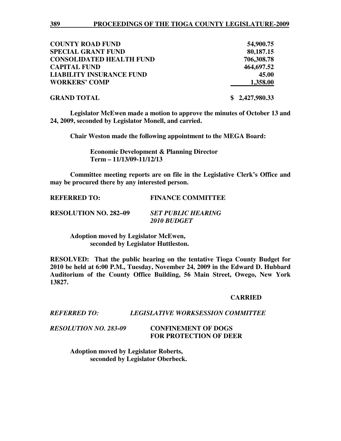| <b>COUNTY ROAD FUND</b>         | 54,900.75      |
|---------------------------------|----------------|
| <b>SPECIAL GRANT FUND</b>       | 80,187.15      |
| <b>CONSOLIDATED HEALTH FUND</b> | 706,308.78     |
| <b>CAPITAL FUND</b>             | 464,697.52     |
| <b>LIABILITY INSURANCE FUND</b> | 45.00          |
| <b>WORKERS' COMP</b>            | 1,358.00       |
| <b>GRAND TOTAL</b>              | \$2,427,980.33 |

**Legislator McEwen made a motion to approve the minutes of October 13 and 24, 2009, seconded by Legislator Monell, and carried.** 

 **Chair Weston made the following appointment to the MEGA Board:** 

 **Economic Development & Planning Director Term – 11/13/09-11/12/13** 

**Committee meeting reports are on file in the Legislative Clerk's Office and may be procured there by any interested person.** 

**REFERRED TO: FINANCE COMMITTEE RESOLUTION NO. 282–09** *SET PUBLIC HEARING 2010 BUDGET*

> **Adoption moved by Legislator McEwen, seconded by Legislator Huttleston.**

**RESOLVED: That the public hearing on the tentative Tioga County Budget for 2010 be held at 6:00 P.M., Tuesday, November 24, 2009 in the Edward D. Hubbard Auditorium of the County Office Building, 56 Main Street, Owego, New York 13827.** 

#### **CARRIED**

# *REFERRED TO: LEGISLATIVE WORKSESSION COMMITTEE*

*RESOLUTION NO. 283-09* **CONFINEMENT OF DOGS FOR PROTECTION OF DEER** 

> **Adoption moved by Legislator Roberts, seconded by Legislator Oberbeck.**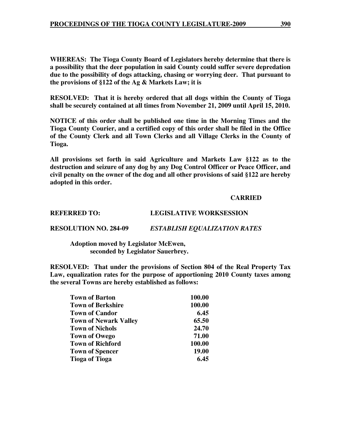**WHEREAS: The Tioga County Board of Legislators hereby determine that there is a possibility that the deer population in said County could suffer severe depredation due to the possibility of dogs attacking, chasing or worrying deer. That pursuant to the provisions of §122 of the Ag & Markets Law; it is** 

**RESOLVED: That it is hereby ordered that all dogs within the County of Tioga shall be securely contained at all times from November 21, 2009 until April 15, 2010.** 

**NOTICE of this order shall be published one time in the Morning Times and the Tioga County Courier, and a certified copy of this order shall be filed in the Office of the County Clerk and all Town Clerks and all Village Clerks in the County of Tioga.** 

**All provisions set forth in said Agriculture and Markets Law §122 as to the destruction and seizure of any dog by any Dog Control Officer or Peace Officer, and civil penalty on the owner of the dog and all other provisions of said §122 are hereby adopted in this order.** 

### **CARRIED**

**REFERRED TO: LEGISLATIVE WORKSESSION** 

**RESOLUTION NO. 284-09** *ESTABLISH EQUALIZATION RATES* 

 **Adoption moved by Legislator McEwen, seconded by Legislator Sauerbrey.** 

**RESOLVED: That under the provisions of Section 804 of the Real Property Tax Law, equalization rates for the purpose of apportioning 2010 County taxes among the several Towns are hereby established as follows:** 

| <b>Town of Barton</b>        | 100.00 |
|------------------------------|--------|
| <b>Town of Berkshire</b>     | 100.00 |
| <b>Town of Candor</b>        | 6.45   |
| <b>Town of Newark Valley</b> | 65.50  |
| <b>Town of Nichols</b>       | 24.70  |
| <b>Town of Owego</b>         | 71.00  |
| <b>Town of Richford</b>      | 100.00 |
| <b>Town of Spencer</b>       | 19.00  |
| <b>Tioga of Tioga</b>        | 6.45   |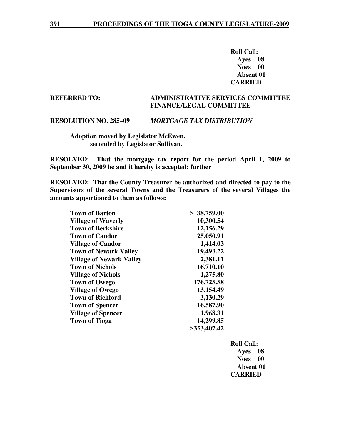**Roll Call: Ayes 08 Noes 00 Absent 01 CARRIED** 

#### **REFERRED TO: ADMINISTRATIVE SERVICES COMMITTEE FINANCE/LEGAL COMMITTEE**

#### **RESOLUTION NO. 285–09** *MORTGAGE TAX DISTRIBUTION*

 **Adoption moved by Legislator McEwen, seconded by Legislator Sullivan.** 

**RESOLVED: That the mortgage tax report for the period April 1, 2009 to September 30, 2009 be and it hereby is accepted; further** 

**RESOLVED: That the County Treasurer be authorized and directed to pay to the Supervisors of the several Towns and the Treasurers of the several Villages the amounts apportioned to them as follows:** 

| <b>Town of Barton</b>           | \$38,759.00  |
|---------------------------------|--------------|
| <b>Village of Waverly</b>       | 10,300.54    |
| <b>Town of Berkshire</b>        | 12,156.29    |
| <b>Town of Candor</b>           | 25,050.91    |
| <b>Village of Candor</b>        | 1,414.03     |
| <b>Town of Newark Valley</b>    | 19,493.22    |
| <b>Village of Newark Valley</b> | 2,381.11     |
| <b>Town of Nichols</b>          | 16,710.10    |
| <b>Village of Nichols</b>       | 1,275.80     |
| <b>Town of Owego</b>            | 176,725.58   |
| <b>Village of Owego</b>         | 13,154.49    |
| <b>Town of Richford</b>         | 3,130.29     |
| <b>Town of Spencer</b>          | 16,587.90    |
| <b>Village of Spencer</b>       | 1,968.31     |
| <b>Town of Tioga</b>            | 14,299.85    |
|                                 | \$353,407.42 |

 **Roll Call: Ayes 08 Noes 00 Absent 01 CARRIED**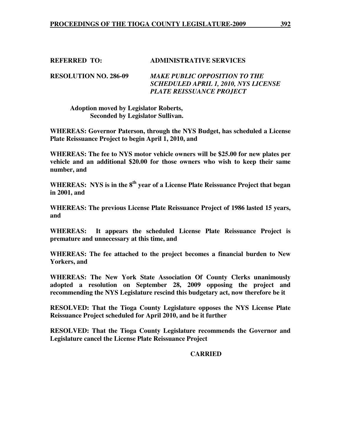# **REFERRED TO: ADMINISTRATIVE SERVICES**

**RESOLUTION NO. 286-09** *MAKE PUBLIC OPPOSITION TO THE SCHEDULED APRIL 1, 2010, NYS LICENSE PLATE REISSUANCE PROJECT*

 **Adoption moved by Legislator Roberts, Seconded by Legislator Sullivan.** 

**WHEREAS: Governor Paterson, through the NYS Budget, has scheduled a License Plate Reissuance Project to begin April 1, 2010, and** 

**WHEREAS: The fee to NYS motor vehicle owners will be \$25.00 for new plates per vehicle and an additional \$20.00 for those owners who wish to keep their same number, and** 

**WHEREAS: NYS is in the 8th year of a License Plate Reissuance Project that began in 2001, and** 

**WHEREAS: The previous License Plate Reissuance Project of 1986 lasted 15 years, and** 

**WHEREAS: It appears the scheduled License Plate Reissuance Project is premature and unnecessary at this time, and** 

**WHEREAS: The fee attached to the project becomes a financial burden to New Yorkers, and** 

**WHEREAS: The New York State Association Of County Clerks unanimously adopted a resolution on September 28, 2009 opposing the project and recommending the NYS Legislature rescind this budgetary act, now therefore be it** 

**RESOLVED: That the Tioga County Legislature opposes the NYS License Plate Reissuance Project scheduled for April 2010, and be it further** 

**RESOLVED: That the Tioga County Legislature recommends the Governor and Legislature cancel the License Plate Reissuance Project** 

### **CARRIED**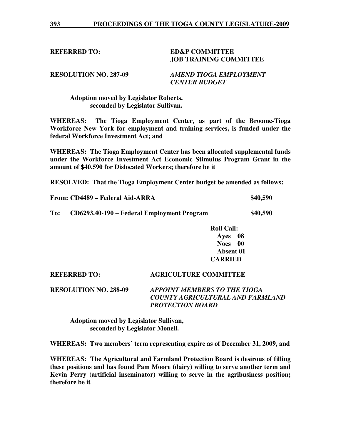#### **REFERRED TO: ED&P COMMITTEE JOB TRAINING COMMITTEE**

**RESOLUTION NO. 287-09** *AMEND TIOGA EMPLOYMENT CENTER BUDGET* 

 **Adoption moved by Legislator Roberts, seconded by Legislator Sullivan.** 

**WHEREAS: The Tioga Employment Center, as part of the Broome-Tioga Workforce New York for employment and training services, is funded under the federal Workforce Investment Act; and** 

**WHEREAS: The Tioga Employment Center has been allocated supplemental funds under the Workforce Investment Act Economic Stimulus Program Grant in the amount of \$40,590 for Dislocated Workers; therefore be it** 

**RESOLVED: That the Tioga Employment Center budget be amended as follows:** 

|     | From: CD4489 – Federal Aid-ARRA            | \$40,590 |
|-----|--------------------------------------------|----------|
| To: | CD6293.40-190 – Federal Employment Program | \$40,590 |

**Roll Call: Ayes 08 Noes 00 Absent 01 CARRIED** 

# **REFERRED TO: AGRICULTURE COMMITTEE RESOLUTION NO. 288-09** *APPOINT MEMBERS TO THE TIOGA COUNTY AGRICULTURAL AND FARMLAND PROTECTION BOARD*

 **Adoption moved by Legislator Sullivan, seconded by Legislator Monell.** 

**WHEREAS: Two members' term representing expire as of December 31, 2009, and** 

**WHEREAS: The Agricultural and Farmland Protection Board is desirous of filling these positions and has found Pam Moore (dairy) willing to serve another term and Kevin Perry (artificial inseminator) willing to serve in the agribusiness position; therefore be it**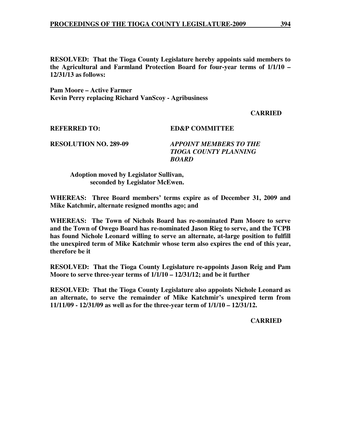**RESOLVED: That the Tioga County Legislature hereby appoints said members to the Agricultural and Farmland Protection Board for four-year terms of 1/1/10 – 12/31/13 as follows:** 

**Pam Moore – Active Farmer Kevin Perry replacing Richard VanScoy - Agribusiness** 

 **CARRIED** 

**REFERRED TO: ED&P COMMITTEE** 

**RESOLUTION NO. 289-09** *APPOINT MEMBERS TO THE TIOGA COUNTY PLANNING BOARD* 

 **Adoption moved by Legislator Sullivan, seconded by Legislator McEwen.** 

**WHEREAS: Three Board members' terms expire as of December 31, 2009 and Mike Katchmir, alternate resigned months ago; and** 

**WHEREAS: The Town of Nichols Board has re-nominated Pam Moore to serve and the Town of Owego Board has re-nominated Jason Rieg to serve, and the TCPB has found Nichole Leonard willing to serve an alternate, at-large position to fulfill the unexpired term of Mike Katchmir whose term also expires the end of this year, therefore be it** 

**RESOLVED: That the Tioga County Legislature re-appoints Jason Reig and Pam Moore to serve three-year terms of 1/1/10 – 12/31/12; and be it further** 

**RESOLVED: That the Tioga County Legislature also appoints Nichole Leonard as an alternate, to serve the remainder of Mike Katchmir's unexpired term from 11/11/09 - 12/31/09 as well as for the three-year term of 1/1/10 – 12/31/12.** 

**CARRIED**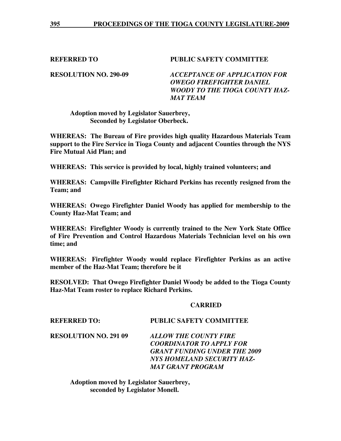**REFERRED TO PUBLIC SAFETY COMMITTEE** 

**RESOLUTION NO. 290-09** *ACCEPTANCE OF APPLICATION FOR OWEGO FIREFIGHTER DANIEL WOODY TO THE TIOGA COUNTY HAZ-MAT TEAM* 

# **Adoption moved by Legislator Sauerbrey, Seconded by Legislator Oberbeck.**

**WHEREAS: The Bureau of Fire provides high quality Hazardous Materials Team support to the Fire Service in Tioga County and adjacent Counties through the NYS Fire Mutual Aid Plan; and** 

**WHEREAS: This service is provided by local, highly trained volunteers; and** 

**WHEREAS: Campville Firefighter Richard Perkins has recently resigned from the Team; and** 

**WHEREAS: Owego Firefighter Daniel Woody has applied for membership to the County Haz-Mat Team; and** 

**WHEREAS: Firefighter Woody is currently trained to the New York State Office of Fire Prevention and Control Hazardous Materials Technician level on his own time; and** 

**WHEREAS: Firefighter Woody would replace Firefighter Perkins as an active member of the Haz-Mat Team; therefore be it** 

**RESOLVED: That Owego Firefighter Daniel Woody be added to the Tioga County Haz-Mat Team roster to replace Richard Perkins.** 

### **CARRIED**

# **REFERRED TO: PUBLIC SAFETY COMMITTEE**

**RESOLUTION NO. 291 09** *ALLOW THE COUNTY FIRE COORDINATOR TO APPLY FOR GRANT FUNDING UNDER THE 2009 NYS HOMELAND SECURITY HAZ-MAT GRANT PROGRAM*

 **Adoption moved by Legislator Sauerbrey, seconded by Legislator Monell.**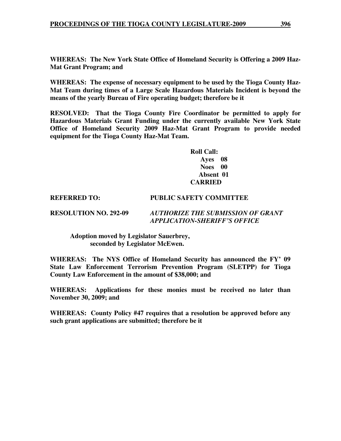**WHEREAS: The New York State Office of Homeland Security is Offering a 2009 Haz-Mat Grant Program; and** 

**WHEREAS: The expense of necessary equipment to be used by the Tioga County Haz-Mat Team during times of a Large Scale Hazardous Materials Incident is beyond the means of the yearly Bureau of Fire operating budget; therefore be it** 

**RESOLVED: That the Tioga County Fire Coordinator be permitted to apply for Hazardous Materials Grant Funding under the currently available New York State Office of Homeland Security 2009 Haz-Mat Grant Program to provide needed equipment for the Tioga County Haz-Mat Team.** 

> **Roll Call: Ayes 08 Noes 00 Absent 01 CARRIED**

#### **REFERRED TO: PUBLIC SAFETY COMMITTEE**

**RESOLUTION NO. 292-09** *AUTHORIZE THE SUBMISSION OF GRANT* 

 *APPLICATION-SHERIFF'S OFFICE* 

 **Adoption moved by Legislator Sauerbrey, seconded by Legislator McEwen.** 

**WHEREAS: The NYS Office of Homeland Security has announced the FY' 09 State Law Enforcement Terrorism Prevention Program (SLETPP) for Tioga County Law Enforcement in the amount of \$38,000; and** 

**WHEREAS: Applications for these monies must be received no later than November 30, 2009; and** 

**WHEREAS: County Policy #47 requires that a resolution be approved before any such grant applications are submitted; therefore be it**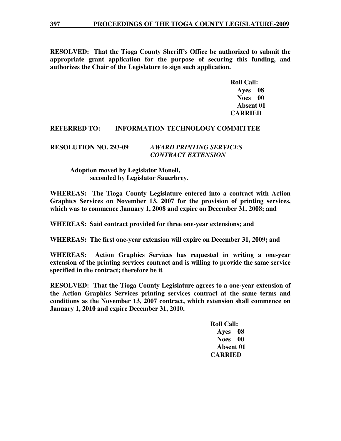**RESOLVED: That the Tioga County Sheriff's Office be authorized to submit the appropriate grant application for the purpose of securing this funding, and authorizes the Chair of the Legislature to sign such application.** 

 **Roll Call: Ayes 08 Noes 00 Absent 01 CARRIED** 

### **REFERRED TO: INFORMATION TECHNOLOGY COMMITTEE**

#### **RESOLUTION NO. 293-09** *AWARD PRINTING SERVICES CONTRACT EXTENSION*

## **Adoption moved by Legislator Monell, seconded by Legislator Sauerbrey.**

**WHEREAS: The Tioga County Legislature entered into a contract with Action Graphics Services on November 13, 2007 for the provision of printing services, which was to commence January 1, 2008 and expire on December 31, 2008; and** 

**WHEREAS: Said contract provided for three one-year extensions; and** 

**WHEREAS: The first one-year extension will expire on December 31, 2009; and** 

**WHEREAS: Action Graphics Services has requested in writing a one-year extension of the printing services contract and is willing to provide the same service specified in the contract; therefore be it** 

**RESOLVED: That the Tioga County Legislature agrees to a one-year extension of the Action Graphics Services printing services contract at the same terms and conditions as the November 13, 2007 contract, which extension shall commence on January 1, 2010 and expire December 31, 2010.** 

> **Roll Call: Ayes 08 Noes 00 Absent 01 CARRIED**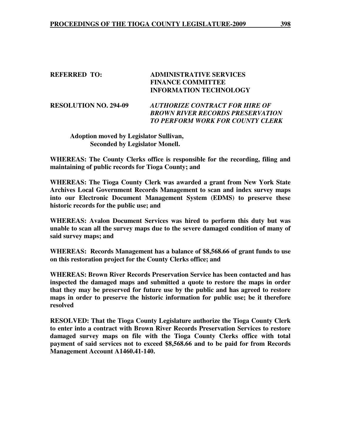| <b>REFERRED TO:</b> |  |
|---------------------|--|
|---------------------|--|

## **REFERRED TO: ADMINISTRATIVE SERVICES FINANCE COMMITTEE INFORMATION TECHNOLOGY**

**RESOLUTION NO. 294-09** *AUTHORIZE CONTRACT FOR HIRE OF BROWN RIVER RECORDS PRESERVATION TO PERFORM WORK FOR COUNTY CLERK*

 **Adoption moved by Legislator Sullivan, Seconded by Legislator Monell.** 

**WHEREAS: The County Clerks office is responsible for the recording, filing and maintaining of public records for Tioga County; and**

**WHEREAS: The Tioga County Clerk was awarded a grant from New York State Archives Local Government Records Management to scan and index survey maps into our Electronic Document Management System (EDMS) to preserve these historic records for the public use; and** 

**WHEREAS: Avalon Document Services was hired to perform this duty but was unable to scan all the survey maps due to the severe damaged condition of many of said survey maps; and** 

**WHEREAS: Records Management has a balance of \$8,568.66 of grant funds to use on this restoration project for the County Clerks office; and** 

**WHEREAS: Brown River Records Preservation Service has been contacted and has inspected the damaged maps and submitted a quote to restore the maps in order that they may be preserved for future use by the public and has agreed to restore maps in order to preserve the historic information for public use; be it therefore resolved** 

**RESOLVED: That the Tioga County Legislature authorize the Tioga County Clerk to enter into a contract with Brown River Records Preservation Services to restore damaged survey maps on file with the Tioga County Clerks office with total payment of said services not to exceed \$8,568.66 and to be paid for from Records Management Account A1460.41-140.**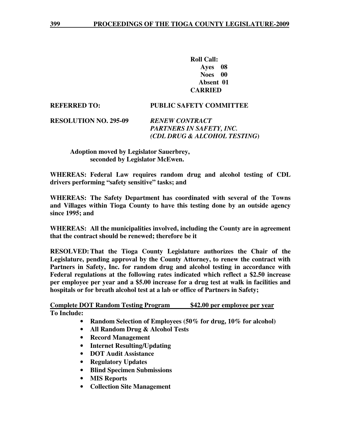**Roll Call: Ayes 08 Noes 00 Absent 01 CARRIED** 

**REFERRED TO: PUBLIC SAFETY COMMITTEE** 

**RESOLUTION NO. 295-09** *RENEW CONTRACT PARTNERS IN SAFETY, INC. (CDL DRUG & ALCOHOL TESTING***)** 

### **Adoption moved by Legislator Sauerbrey, seconded by Legislator McEwen.**

**WHEREAS: Federal Law requires random drug and alcohol testing of CDL drivers performing "safety sensitive" tasks; and** 

**WHEREAS: The Safety Department has coordinated with several of the Towns and Villages within Tioga County to have this testing done by an outside agency since 1995; and** 

**WHEREAS: All the municipalities involved, including the County are in agreement that the contract should be renewed; therefore be it** 

**RESOLVED: That the Tioga County Legislature authorizes the Chair of the Legislature, pending approval by the County Attorney, to renew the contract with Partners in Safety, Inc. for random drug and alcohol testing in accordance with Federal regulations at the following rates indicated which reflect a \$2.50 increase per employee per year and a \$5.00 increase for a drug test at walk in facilities and hospitals or for breath alcohol test at a lab or office of Partners in Safety;** 

**Complete DOT Random Testing Program \$42.00 per employee per year To Include:** 

- **Random Selection of Employees (50% for drug, 10% for alcohol)**
- **All Random Drug & Alcohol Tests**
- **Record Management**
- **Internet Resulting/Updating**
- **DOT Audit Assistance**
- **Regulatory Updates**
- **Blind Specimen Submissions**
- **MIS Reports**
- **Collection Site Management**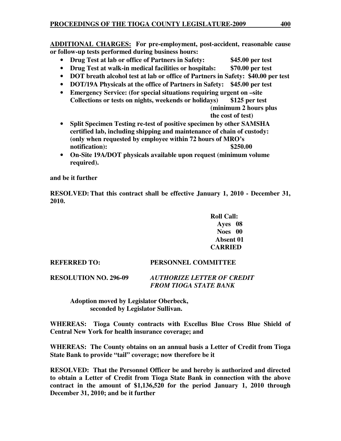**ADDITIONAL CHARGES: For pre-employment, post-accident, reasonable cause or follow-up tests performed during business hours:**

- **Drug Test at lab or office of Partners in Safety: \$45.00 per test**
- **Drug Test at walk-in medical facilities or hospitals: \$70.00 per test**
- **DOT breath alcohol test at lab or office of Partners in Safety: \$40.00 per test**
- **DOT/19A Physicals at the office of Partners in Safety: \$45.00 per test**
- **Emergency Service: (for special situations requiring urgent on –site Collections or tests on nights, weekends or holidays) \$125 per test** 
	- **(minimum 2 hours plus the cost of test)**
- **Split Specimen Testing re-test of positive specimen by other SAMSHA certified lab, including shipping and maintenance of chain of custody: (only when requested by employee within 72 hours of MRO's notification**): \$250.00
- **On-Site 19A/DOT physicals available upon request (minimum volume required).**

**and be it further** 

**RESOLVED: That this contract shall be effective January 1, 2010 - December 31, 2010.** 

> **Roll Call: Ayes 08 Noes 00 Absent 01 CARRIED**

**REFERRED TO: PERSONNEL COMMITTEE** 

**RESOLUTION NO. 296-09** *AUTHORIZE LETTER OF CREDIT FROM TIOGA STATE BANK*

 **Adoption moved by Legislator Oberbeck, seconded by Legislator Sullivan.** 

**WHEREAS: Tioga County contracts with Excellus Blue Cross Blue Shield of Central New York for health insurance coverage; and**

**WHEREAS: The County obtains on an annual basis a Letter of Credit from Tioga State Bank to provide "tail" coverage; now therefore be it** 

**RESOLVED: That the Personnel Officer be and hereby is authorized and directed to obtain a Letter of Credit from Tioga State Bank in connection with the above contract in the amount of \$1,136,520 for the period January 1, 2010 through December 31, 2010; and be it further**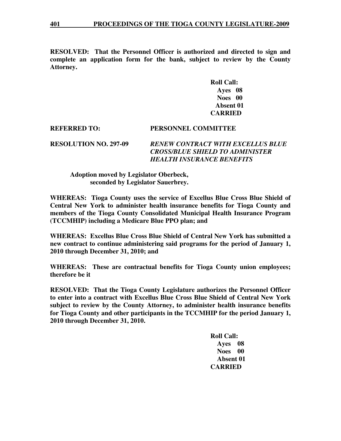**RESOLVED: That the Personnel Officer is authorized and directed to sign and complete an application form for the bank, subject to review by the County Attorney.** 

> **Roll Call: Ayes 08 Noes 00 Absent 01 CARRIED**

**REFERRED TO: PERSONNEL COMMITTEE** 

**RESOLUTION NO. 297-09** *RENEW CONTRACT WITH EXCELLUS BLUE CROSS/BLUE SHIELD TO ADMINISTER HEALTH INSURANCE BENEFITS* 

### **Adoption moved by Legislator Oberbeck, seconded by Legislator Sauerbrey.**

**WHEREAS: Tioga County uses the service of Excellus Blue Cross Blue Shield of Central New York to administer health insurance benefits for Tioga County and members of the Tioga County Consolidated Municipal Health Insurance Program (TCCMHIP) including a Medicare Blue PPO plan; and** 

**WHEREAS: Excellus Blue Cross Blue Shield of Central New York has submitted a new contract to continue administering said programs for the period of January 1, 2010 through December 31, 2010; and** 

**WHEREAS: These are contractual benefits for Tioga County union employees; therefore be it** 

**RESOLVED: That the Tioga County Legislature authorizes the Personnel Officer to enter into a contract with Excellus Blue Cross Blue Shield of Central New York subject to review by the County Attorney, to administer health insurance benefits for Tioga County and other participants in the TCCMHIP for the period January 1, 2010 through December 31, 2010.** 

> **Roll Call: Ayes 08 Noes 00 Absent 01 CARRIED**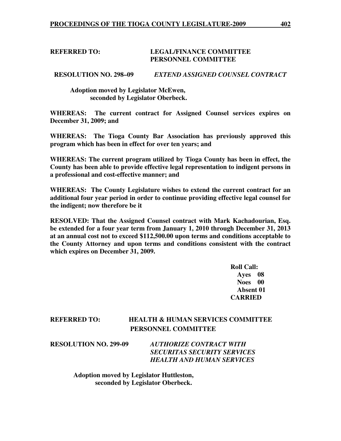### **REFERRED TO: LEGAL/FINANCE COMMITTEE PERSONNEL COMMITTEE**

**RESOLUTION NO. 298–09** *EXTEND ASSIGNED COUNSEL CONTRACT* 

 **Adoption moved by Legislator McEwen, seconded by Legislator Oberbeck.** 

**WHEREAS: The current contract for Assigned Counsel services expires on December 31, 2009; and** 

**WHEREAS: The Tioga County Bar Association has previously approved this program which has been in effect for over ten years; and** 

**WHEREAS: The current program utilized by Tioga County has been in effect, the County has been able to provide effective legal representation to indigent persons in a professional and cost-effective manner; and** 

**WHEREAS: The County Legislature wishes to extend the current contract for an additional four year period in order to continue providing effective legal counsel for the indigent; now therefore be it** 

**RESOLVED: That the Assigned Counsel contract with Mark Kachadourian, Esq. be extended for a four year term from January 1, 2010 through December 31, 2013 at an annual cost not to exceed \$112,500.00 upon terms and conditions acceptable to the County Attorney and upon terms and conditions consistent with the contract which expires on December 31, 2009.** 

 **Roll Call: Ayes 08 Noes 00 Absent 01 CARRIED** 

# **REFERRED TO: HEALTH & HUMAN SERVICES COMMITTEE PERSONNEL COMMITTEE**

**RESOLUTION NO. 299-09** *AUTHORIZE CONTRACT WITH SECURITAS SECURITY SERVICES HEALTH AND HUMAN SERVICES* 

> **Adoption moved by Legislator Huttleston, seconded by Legislator Oberbeck.**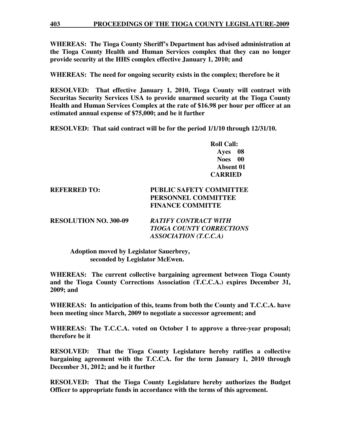**WHEREAS: The Tioga County Sheriff's Department has advised administration at the Tioga County Health and Human Services complex that they can no longer provide security at the HHS complex effective January 1, 2010; and** 

**WHEREAS: The need for ongoing security exists in the complex; therefore be it** 

**RESOLVED: That effective January 1, 2010, Tioga County will contract with Securitas Security Services USA to provide unarmed security at the Tioga County Health and Human Services Complex at the rate of \$16.98 per hour per officer at an estimated annual expense of \$75,000; and be it further** 

**RESOLVED: That said contract will be for the period 1/1/10 through 12/31/10.** 

 **Roll Call: Ayes 08 Noes 00 Absent 01 CARRIED** 

# **REFERRED TO: PUBLIC SAFETY COMMITTEE PERSONNEL COMMITTEE FINANCE COMMITTE**

**RESOLUTION NO. 300-09** *RATIFY CONTRACT WITH TIOGA COUNTY CORRECTIONS ASSOCIATION (T.C.C.A)* 

 **Adoption moved by Legislator Sauerbrey, seconded by Legislator McEwen.** 

**WHEREAS: The current collective bargaining agreement between Tioga County and the Tioga County Corrections Association (T.C.C.A.) expires December 31, 2009; and** 

**WHEREAS: In anticipation of this, teams from both the County and T.C.C.A. have been meeting since March, 2009 to negotiate a successor agreement; and** 

**WHEREAS: The T.C.C.A. voted on October 1 to approve a three-year proposal; therefore be it** 

**RESOLVED: That the Tioga County Legislature hereby ratifies a collective bargaining agreement with the T.C.C.A. for the term January 1, 2010 through December 31, 2012; and be it further** 

**RESOLVED: That the Tioga County Legislature hereby authorizes the Budget Officer to appropriate funds in accordance with the terms of this agreement.**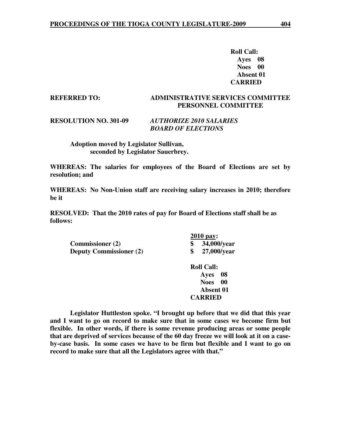**Roll Call: Ayes 08 Noes 00 Absent 01 CARRIED** 

# **REFERRED TO: ADMINISTRATIVE SERVICES COMMITTEE PERSONNEL COMMITTEE**

#### **RESOLUTION NO. 301-09** *AUTHORIZE 2010 SALARIES BOARD OF ELECTIONS*

 **Adoption moved by Legislator Sullivan, seconded by Legislator Sauerbrey.** 

**WHEREAS: The salaries for employees of the Board of Elections are set by resolution; and** 

**WHEREAS: No Non-Union staff are receiving salary increases in 2010; therefore be it** 

**RESOLVED: That the 2010 rates of pay for Board of Elections staff shall be as follows:** 

 **Commissioner (2) \$ 34,000/year Deputy Commissioner (2) \$ 27,000/year** 

 **2010 pay:** 

 **Roll Call: Ayes 08 Noes 00 Absent 01 CARRIED** 

**Legislator Huttleston spoke. "I brought up before that we did that this year and I want to go on record to make sure that in some cases we become firm but flexible. In other words, if there is some revenue producing areas or some people that are deprived of services because of the 60 day freeze we will look at it on a caseby-case basis. In some cases we have to be firm but flexible and I want to go on record to make sure that all the Legislators agree with that."**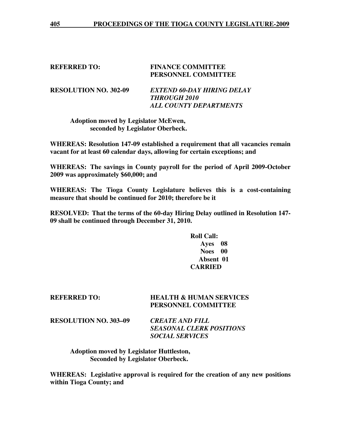*ALL COUNTY DEPARTMENTS* 

# **REFERRED TO: FINANCE COMMITTEE PERSONNEL COMMITTEE RESOLUTION NO. 302-09** *EXTEND 60-DAY HIRING DELAY THROUGH 2010*

 **Adoption moved by Legislator McEwen, seconded by Legislator Oberbeck.** 

**WHEREAS: Resolution 147-09 established a requirement that all vacancies remain vacant for at least 60 calendar days, allowing for certain exceptions; and** 

**WHEREAS: The savings in County payroll for the period of April 2009-October 2009 was approximately \$60,000; and** 

**WHEREAS: The Tioga County Legislature believes this is a cost-containing measure that should be continued for 2010; therefore be it** 

**RESOLVED: That the terms of the 60-day Hiring Delay outlined in Resolution 147- 09 shall be continued through December 31, 2010.** 

> **Roll Call: Ayes 08 Noes 00 Absent 01 CARRIED**

| <b>REFERRED TO:</b>          | <b>HEALTH &amp; HUMAN SERVICES</b><br>PERSONNEL COMMITTEE |
|------------------------------|-----------------------------------------------------------|
| <b>RESOLUTION NO. 303-09</b> | <b>CREATE AND FILL</b><br>SEASONAL CLERK POSITIONS        |

*SEASONAL CLERK POSITIONS SOCIAL SERVICES* 

 **Adoption moved by Legislator Huttleston, Seconded by Legislator Oberbeck.** 

**WHEREAS: Legislative approval is required for the creation of any new positions within Tioga County; and**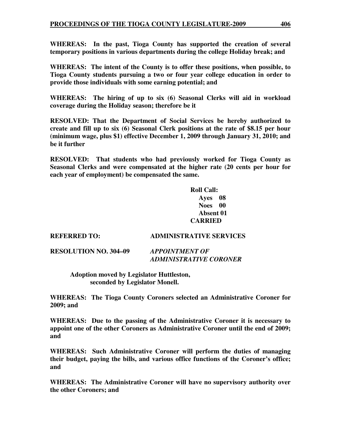**WHEREAS: In the past, Tioga County has supported the creation of several temporary positions in various departments during the college Holiday break; and** 

**WHEREAS: The intent of the County is to offer these positions, when possible, to Tioga County students pursuing a two or four year college education in order to provide those individuals with some earning potential; and** 

**WHEREAS: The hiring of up to six (6) Seasonal Clerks will aid in workload coverage during the Holiday season; therefore be it** 

**RESOLVED: That the Department of Social Services be hereby authorized to create and fill up to six (6) Seasonal Clerk positions at the rate of \$8.15 per hour (minimum wage, plus \$1) effective December 1, 2009 through January 31, 2010; and be it further** 

**RESOLVED: That students who had previously worked for Tioga County as Seasonal Clerks and were compensated at the higher rate (20 cents per hour for each year of employment) be compensated the same.** 

> **Roll Call: Ayes 08 Noes 00 Absent 01 CARRIED**

**REFERRED TO: ADMINISTRATIVE SERVICES** 

**RESOLUTION NO. 304–09** *APPOINTMENT OF* 

 *ADMINISTRATIVE CORONER* 

 **Adoption moved by Legislator Huttleston, seconded by Legislator Monell.** 

**WHEREAS: The Tioga County Coroners selected an Administrative Coroner for 2009; and** 

**WHEREAS: Due to the passing of the Administrative Coroner it is necessary to appoint one of the other Coroners as Administrative Coroner until the end of 2009; and** 

**WHEREAS: Such Administrative Coroner will perform the duties of managing their budget, paying the bills, and various office functions of the Coroner's office; and** 

**WHEREAS: The Administrative Coroner will have no supervisory authority over the other Coroners; and**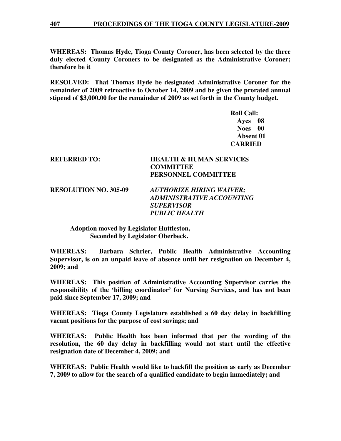**WHEREAS: Thomas Hyde, Tioga County Coroner, has been selected by the three duly elected County Coroners to be designated as the Administrative Coroner; therefore be it** 

**RESOLVED: That Thomas Hyde be designated Administrative Coroner for the remainder of 2009 retroactive to October 14, 2009 and be given the prorated annual stipend of \$3,000.00 for the remainder of 2009 as set forth in the County budget.** 

> **Roll Call: Ayes 08 Noes 00 Absent 01 CARRIED**

# **REFERRED TO: HEALTH & HUMAN SERVICES COMMITTEE PERSONNEL COMMITTEE**

**RESOLUTION NO. 305-09** *AUTHORIZE HIRING WAIVER; ADMINISTRATIVE ACCOUNTING SUPERVISOR PUBLIC HEALTH* 

 **Adoption moved by Legislator Huttleston, Seconded by Legislator Oberbeck.** 

**WHEREAS: Barbara Schrier, Public Health Administrative Accounting Supervisor, is on an unpaid leave of absence until her resignation on December 4, 2009; and** 

**WHEREAS: This position of Administrative Accounting Supervisor carries the responsibility of the 'billing coordinator' for Nursing Services, and has not been paid since September 17, 2009; and** 

**WHEREAS: Tioga County Legislature established a 60 day delay in backfilling vacant positions for the purpose of cost savings; and** 

**WHEREAS: Public Health has been informed that per the wording of the resolution, the 60 day delay in backfilling would not start until the effective resignation date of December 4, 2009; and** 

**WHEREAS: Public Health would like to backfill the position as early as December 7, 2009 to allow for the search of a qualified candidate to begin immediately; and**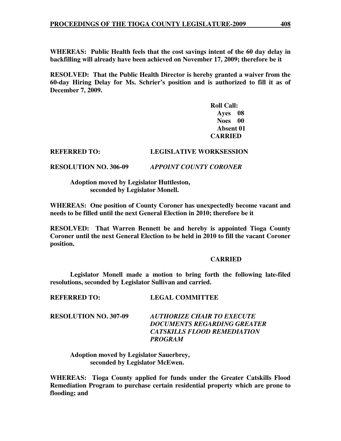**WHEREAS: Public Health feels that the cost savings intent of the 60 day delay in backfilling will already have been achieved on November 17, 2009; therefore be it** 

**RESOLVED: That the Public Health Director is hereby granted a waiver from the 60-day Hiring Delay for Ms. Schrier's position and is authorized to fill it as of December 7, 2009.** 

> **Roll Call: Ayes 08 Noes 00 Absent 01 CARRIED**

#### **REFERRED TO: LEGISLATIVE WORKSESSION**

**RESOLUTION NO. 306-09** *APPOINT COUNTY CORONER*

 **Adoption moved by Legislator Huttleston, seconded by Legislator Monell.** 

**WHEREAS: One position of County Coroner has unexpectedly become vacant and needs to be filled until the next General Election in 2010; therefore be it** 

**RESOLVED: That Warren Bennett be and hereby is appointed Tioga County Coroner until the next General Election to be held in 2010 to fill the vacant Coroner position.** 

#### **CARRIED**

 **Legislator Monell made a motion to bring forth the following late-filed resolutions, seconded by Legislator Sullivan and carried.** 

| <b>RESOLUTION NO. 307-09</b> | AUTHORIZE CHAIR TO EXECUTE<br>DOCUMENTS REGARDING GREATER<br><b>CATSKILLS FLOOD REMEDIATION</b><br>PROGRAM |
|------------------------------|------------------------------------------------------------------------------------------------------------|
|                              |                                                                                                            |

 **Adoption moved by Legislator Sauerbrey, seconded by Legislator McEwen.** 

**REFERRED TO: LEGAL COMMITTEE** 

**WHEREAS: Tioga County applied for funds under the Greater Catskills Flood Remediation Program to purchase certain residential property which are prone to flooding; and**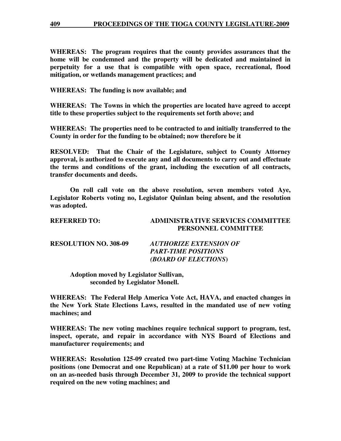**WHEREAS: The program requires that the county provides assurances that the home will be condemned and the property will be dedicated and maintained in perpetuity for a use that is compatible with open space, recreational, flood mitigation, or wetlands management practices; and** 

**WHEREAS: The funding is now available; and** 

**WHEREAS: The Towns in which the properties are located have agreed to accept title to these properties subject to the requirements set forth above; and** 

**WHEREAS: The properties need to be contracted to and initially transferred to the County in order for the funding to be obtained; now therefore be it** 

**RESOLVED: That the Chair of the Legislature, subject to County Attorney approval, is authorized to execute any and all documents to carry out and effectuate the terms and conditions of the grant, including the execution of all contracts, transfer documents and deeds.** 

**On roll call vote on the above resolution, seven members voted Aye, Legislator Roberts voting no, Legislator Quinlan being absent, and the resolution was adopted.** 

| <b>REFERRED TO:</b>          | <b>ADMINISTRATIVE SERVICES COMMITTEE</b><br><b>PERSONNEL COMMITTEE</b> |
|------------------------------|------------------------------------------------------------------------|
| <b>RESOLUTION NO. 308-09</b> | <i><b>AUTHORIZE EXTENSION OF</b></i><br><b>PART-TIME POSITIONS</b>     |

 *(BOARD OF ELECTIONS***)** 

 **Adoption moved by Legislator Sullivan, seconded by Legislator Monell.** 

**WHEREAS: The Federal Help America Vote Act, HAVA, and enacted changes in the New York State Elections Laws, resulted in the mandated use of new voting machines; and** 

**WHEREAS: The new voting machines require technical support to program, test, inspect, operate, and repair in accordance with NYS Board of Elections and manufacturer requirements; and** 

**WHEREAS: Resolution 125-09 created two part-time Voting Machine Technician positions (one Democrat and one Republican) at a rate of \$11.00 per hour to work on an as-needed basis through December 31, 2009 to provide the technical support required on the new voting machines; and**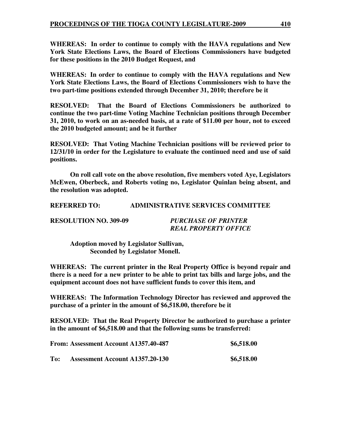**WHEREAS: In order to continue to comply with the HAVA regulations and New York State Elections Laws, the Board of Elections Commissioners have budgeted for these positions in the 2010 Budget Request, and**

**WHEREAS: In order to continue to comply with the HAVA regulations and New York State Elections Laws, the Board of Elections Commissioners wish to have the two part-time positions extended through December 31, 2010; therefore be it** 

**RESOLVED: That the Board of Elections Commissioners be authorized to continue the two part-time Voting Machine Technician positions through December 31, 2010, to work on an as-needed basis, at a rate of \$11.00 per hour, not to exceed the 2010 budgeted amount; and be it further** 

**RESOLVED: That Voting Machine Technician positions will be reviewed prior to 12/31/10 in order for the Legislature to evaluate the continued need and use of said positions.** 

 **On roll call vote on the above resolution, five members voted Aye, Legislators McEwen, Oberbeck, and Roberts voting no, Legislator Quinlan being absent, and the resolution was adopted.** 

**REFERRED TO: ADMINISTRATIVE SERVICES COMMITTEE** 

**RESOLUTION NO. 309-09** *PURCHASE OF PRINTER* 

*REAL PROPERTY OFFICE* 

 **Adoption moved by Legislator Sullivan, Seconded by Legislator Monell.** 

**WHEREAS: The current printer in the Real Property Office is beyond repair and there is a need for a new printer to be able to print tax bills and large jobs, and the equipment account does not have sufficient funds to cover this item, and** 

**WHEREAS: The Information Technology Director has reviewed and approved the purchase of a printer in the amount of \$6,518.00, therefore be it** 

**RESOLVED: That the Real Property Director be authorized to purchase a printer in the amount of \$6,518.00 and that the following sums be transferred:** 

|     | From: Assessment Account A1357.40-487  | \$6,518.00 |
|-----|----------------------------------------|------------|
| To: | <b>Assessment Account A1357.20-130</b> | \$6,518.00 |